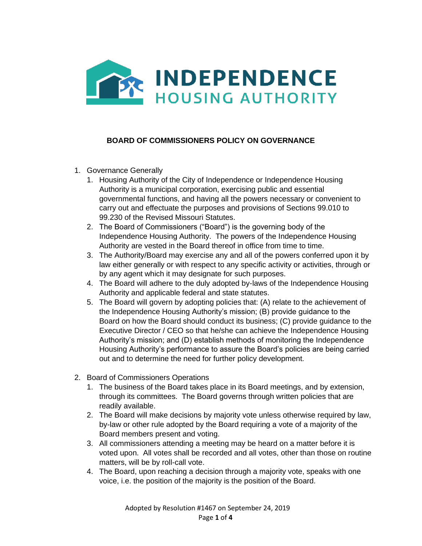

## **BOARD OF COMMISSIONERS POLICY ON GOVERNANCE**

- 1. Governance Generally
	- 1. Housing Authority of the City of Independence or Independence Housing Authority is a municipal corporation, exercising public and essential governmental functions, and having all the powers necessary or convenient to carry out and effectuate the purposes and provisions of Sections 99.010 to 99.230 of the Revised Missouri Statutes.
	- 2. The Board of Commissioners ("Board") is the governing body of the Independence Housing Authority. The powers of the Independence Housing Authority are vested in the Board thereof in office from time to time.
	- 3. The Authority/Board may exercise any and all of the powers conferred upon it by law either generally or with respect to any specific activity or activities, through or by any agent which it may designate for such purposes.
	- 4. The Board will adhere to the duly adopted by-laws of the Independence Housing Authority and applicable federal and state statutes.
	- 5. The Board will govern by adopting policies that: (A) relate to the achievement of the Independence Housing Authority's mission; (B) provide guidance to the Board on how the Board should conduct its business; (C) provide guidance to the Executive Director / CEO so that he/she can achieve the Independence Housing Authority's mission; and (D) establish methods of monitoring the Independence Housing Authority's performance to assure the Board's policies are being carried out and to determine the need for further policy development.
- 2. Board of Commissioners Operations
	- 1. The business of the Board takes place in its Board meetings, and by extension, through its committees. The Board governs through written policies that are readily available.
	- 2. The Board will make decisions by majority vote unless otherwise required by law, by-law or other rule adopted by the Board requiring a vote of a majority of the Board members present and voting.
	- 3. All commissioners attending a meeting may be heard on a matter before it is voted upon. All votes shall be recorded and all votes, other than those on routine matters, will be by roll-call vote.
	- 4. The Board, upon reaching a decision through a majority vote, speaks with one voice, i.e. the position of the majority is the position of the Board.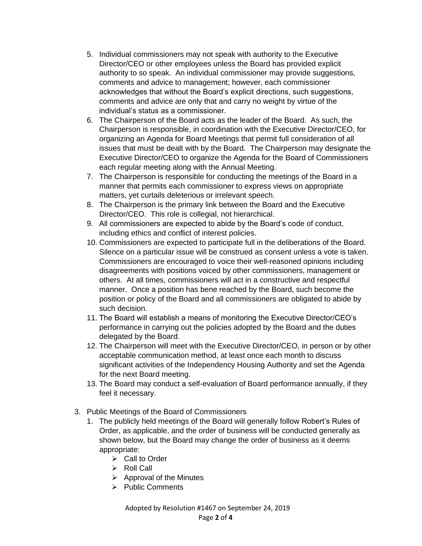- 5. Individual commissioners may not speak with authority to the Executive Director/CEO or other employees unless the Board has provided explicit authority to so speak. An individual commissioner may provide suggestions, comments and advice to management; however, each commissioner acknowledges that without the Board's explicit directions, such suggestions, comments and advice are only that and carry no weight by virtue of the individual's status as a commissioner.
- 6. The Chairperson of the Board acts as the leader of the Board. As such, the Chairperson is responsible, in coordination with the Executive Director/CEO, for organizing an Agenda for Board Meetings that permit full consideration of all issues that must be dealt with by the Board. The Chairperson may designate the Executive Director/CEO to organize the Agenda for the Board of Commissioners each regular meeting along with the Annual Meeting.
- 7. The Chairperson is responsible for conducting the meetings of the Board in a manner that permits each commissioner to express views on appropriate matters, yet curtails deleterious or irrelevant speech.
- 8. The Chairperson is the primary link between the Board and the Executive Director/CEO. This role is collegial, not hierarchical.
- 9. All commissioners are expected to abide by the Board's code of conduct, including ethics and conflict of interest policies.
- 10. Commissioners are expected to participate full in the deliberations of the Board. Silence on a particular issue will be construed as consent unless a vote is taken. Commissioners are encouraged to voice their well-reasoned opinions including disagreements with positions voiced by other commissioners, management or others. At all times, commissioners will act in a constructive and respectful manner. Once a position has bene reached by the Board, such become the position or policy of the Board and all commissioners are obligated to abide by such decision.
- 11. The Board will establish a means of monitoring the Executive Director/CEO's performance in carrying out the policies adopted by the Board and the duties delegated by the Board.
- 12. The Chairperson will meet with the Executive Director/CEO, in person or by other acceptable communication method, at least once each month to discuss significant activities of the Independency Housing Authority and set the Agenda for the next Board meeting.
- 13. The Board may conduct a self-evaluation of Board performance annually, if they feel it necessary.
- 3. Public Meetings of the Board of Commissioners
	- 1. The publicly held meetings of the Board will generally follow Robert's Rules of Order, as applicable, and the order of business will be conducted generally as shown below, but the Board may change the order of business as it deems appropriate:
		- ➢ Call to Order
		- ➢ Roll Call
		- $\triangleright$  Approval of the Minutes
		- ➢ Public Comments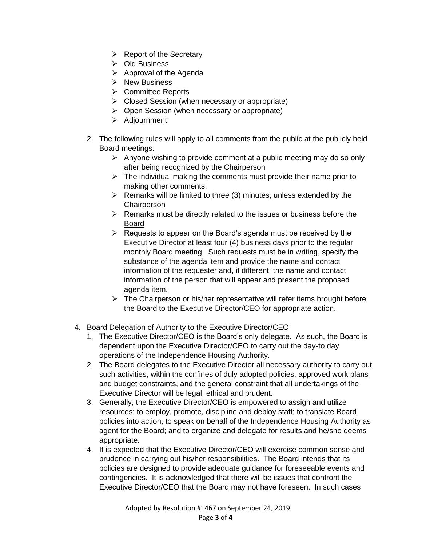- $\triangleright$  Report of the Secretary
- ➢ Old Business
- $\triangleright$  Approval of the Agenda
- ➢ New Business
- ➢ Committee Reports
- $\triangleright$  Closed Session (when necessary or appropriate)
- ➢ Open Session (when necessary or appropriate)
- ➢ Adjournment
- 2. The following rules will apply to all comments from the public at the publicly held Board meetings:
	- $\triangleright$  Anyone wishing to provide comment at a public meeting may do so only after being recognized by the Chairperson
	- $\triangleright$  The individual making the comments must provide their name prior to making other comments.
	- $\triangleright$  Remarks will be limited to three (3) minutes, unless extended by the **Chairperson**
	- ➢ Remarks must be directly related to the issues or business before the Board
	- $\triangleright$  Requests to appear on the Board's agenda must be received by the Executive Director at least four (4) business days prior to the regular monthly Board meeting. Such requests must be in writing, specify the substance of the agenda item and provide the name and contact information of the requester and, if different, the name and contact information of the person that will appear and present the proposed agenda item.
	- ➢ The Chairperson or his/her representative will refer items brought before the Board to the Executive Director/CEO for appropriate action.
- 4. Board Delegation of Authority to the Executive Director/CEO
	- 1. The Executive Director/CEO is the Board's only delegate. As such, the Board is dependent upon the Executive Director/CEO to carry out the day-to day operations of the Independence Housing Authority.
	- 2. The Board delegates to the Executive Director all necessary authority to carry out such activities, within the confines of duly adopted policies, approved work plans and budget constraints, and the general constraint that all undertakings of the Executive Director will be legal, ethical and prudent.
	- 3. Generally, the Executive Director/CEO is empowered to assign and utilize resources; to employ, promote, discipline and deploy staff; to translate Board policies into action; to speak on behalf of the Independence Housing Authority as agent for the Board; and to organize and delegate for results and he/she deems appropriate.
	- 4. It is expected that the Executive Director/CEO will exercise common sense and prudence in carrying out his/her responsibilities. The Board intends that its policies are designed to provide adequate guidance for foreseeable events and contingencies. It is acknowledged that there will be issues that confront the Executive Director/CEO that the Board may not have foreseen. In such cases